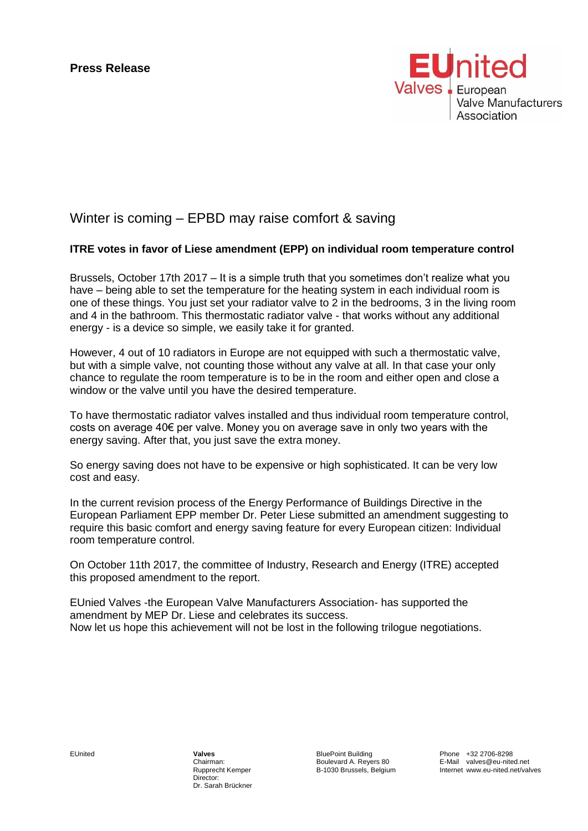

## Winter is coming – EPBD may raise comfort & saving

## **ITRE votes in favor of Liese amendment (EPP) on individual room temperature control**

Brussels, October 17th 2017 – It is a simple truth that you sometimes don't realize what you have – being able to set the temperature for the heating system in each individual room is one of these things. You just set your radiator valve to 2 in the bedrooms, 3 in the living room and 4 in the bathroom. This thermostatic radiator valve - that works without any additional energy - is a device so simple, we easily take it for granted.

However, 4 out of 10 radiators in Europe are not equipped with such a thermostatic valve, but with a simple valve, not counting those without any valve at all. In that case your only chance to regulate the room temperature is to be in the room and either open and close a window or the valve until you have the desired temperature.

To have thermostatic radiator valves installed and thus individual room temperature control, costs on average 40€ per valve. Money you on average save in only two years with the energy saving. After that, you just save the extra money.

So energy saving does not have to be expensive or high sophisticated. It can be very low cost and easy.

In the current revision process of the Energy Performance of Buildings Directive in the European Parliament EPP member Dr. Peter Liese submitted an amendment suggesting to require this basic comfort and energy saving feature for every European citizen: Individual room temperature control.

On October 11th 2017, the committee of Industry, Research and Energy (ITRE) accepted this proposed amendment to the report.

EUnied Valves -the European Valve Manufacturers Association- has supported the amendment by MEP Dr. Liese and celebrates its success. Now let us hope this achievement will not be lost in the following trilogue negotiations.